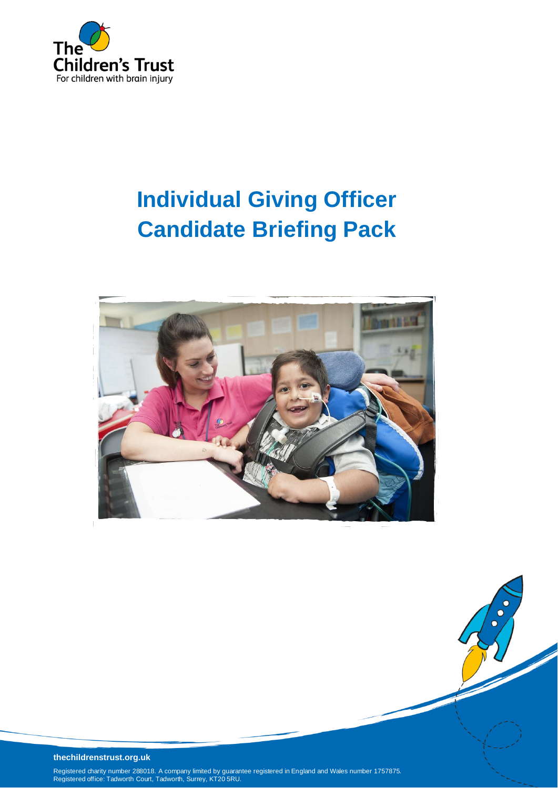

# **Individual Giving Officer Candidate Briefing Pack**



#### **thechildrenstrust.org.uk**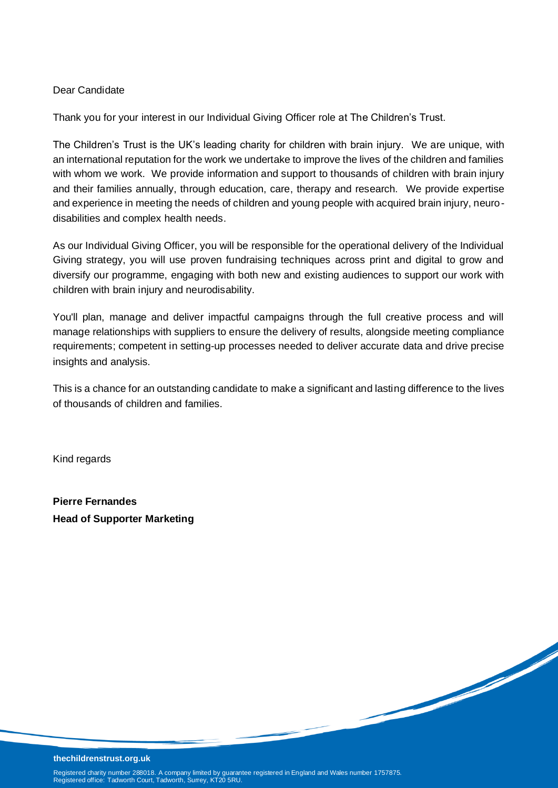#### Dear Candidate

Thank you for your interest in our Individual Giving Officer role at The Children's Trust.

The Children's Trust is the UK's leading charity for children with brain injury. We are unique, with an international reputation for the work we undertake to improve the lives of the children and families with whom we work. We provide information and support to thousands of children with brain injury and their families annually, through education, care, therapy and research. We provide expertise and experience in meeting the needs of children and young people with acquired brain injury, neurodisabilities and complex health needs.

As our Individual Giving Officer, you will be responsible for the operational delivery of the Individual Giving strategy, you will use proven fundraising techniques across print and digital to grow and diversify our programme, engaging with both new and existing audiences to support our work with children with brain injury and neurodisability.

You'll plan, manage and deliver impactful campaigns through the full creative process and will manage relationships with suppliers to ensure the delivery of results, alongside meeting compliance requirements; competent in setting-up processes needed to deliver accurate data and drive precise insights and analysis.

This is a chance for an outstanding candidate to make a significant and lasting difference to the lives of thousands of children and families.

de de la Cardina de la Cardina de la Cardina de la Cardina de la Cardina de la Cardina de la Cardina de la Cardina de la Cardina de la Cardina de la Cardina de la Cardina de la Cardina de la Cardina de la Cardina de la Car

Kind regards

**Pierre Fernandes Head of Supporter Marketing**

#### **thechildrenstrust.org.uk**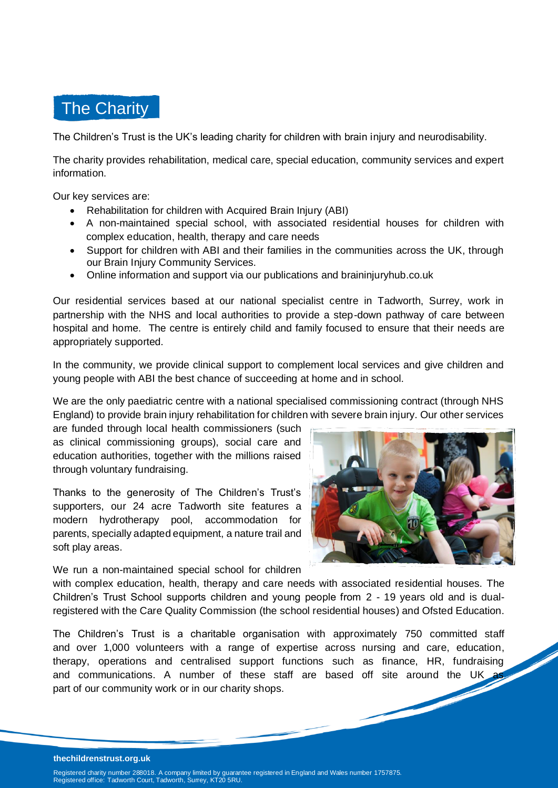

The Children's Trust is the UK's leading charity for children with brain injury and neurodisability.

The charity provides rehabilitation, medical care, special education, community services and expert information.

Our key services are:

- Rehabilitation for children with Acquired Brain Injury (ABI)
- A non-maintained special school, with associated residential houses for children with complex education, health, therapy and care needs
- Support for children with ABI and their families in the communities across the UK, through our Brain Injury Community Services.
- Online information and support via our publications and braininjuryhub.co.uk

Our residential services based at our national specialist centre in Tadworth, Surrey, work in partnership with the NHS and local authorities to provide a step-down pathway of care between hospital and home. The centre is entirely child and family focused to ensure that their needs are appropriately supported.

In the community, we provide clinical support to complement local services and give children and young people with ABI the best chance of succeeding at home and in school.

We are the only paediatric centre with a national specialised commissioning contract (through NHS England) to provide brain injury rehabilitation for children with severe brain injury. Our other services

are funded through local health commissioners (such as clinical commissioning groups), social care and education authorities, together with the millions raised through voluntary fundraising.

Thanks to the generosity of The Children's Trust's supporters, our 24 acre Tadworth site features a modern hydrotherapy pool, accommodation for parents, specially adapted equipment, a nature trail and soft play areas.

We run a non-maintained special school for children

with complex education, health, therapy and care needs with associated residential houses. The Children's Trust School supports children and young people from 2 - 19 years old and is dualregistered with the Care Quality Commission (the school residential houses) and Ofsted Education.

The Children's Trust is a charitable organisation with approximately 750 committed staff and over 1,000 volunteers with a range of expertise across nursing and care, education, therapy, operations and centralised support functions such as finance, HR, fundraising and communications. A number of these staff are based off site around the UK part of our community work or in our charity shops.

#### **thechildrenstrust.org.uk**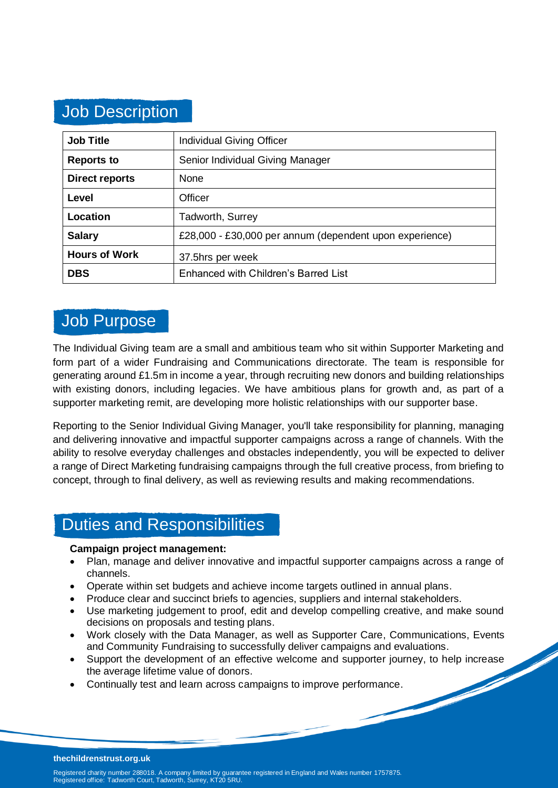## Job Description

| <b>Job Title</b>      | <b>Individual Giving Officer</b>                        |
|-----------------------|---------------------------------------------------------|
| <b>Reports to</b>     | Senior Individual Giving Manager                        |
| <b>Direct reports</b> | None                                                    |
| Level                 | Officer                                                 |
| Location              | <b>Tadworth, Surrey</b>                                 |
| <b>Salary</b>         | £28,000 - £30,000 per annum (dependent upon experience) |
| <b>Hours of Work</b>  | 37.5hrs per week                                        |
| <b>DBS</b>            | Enhanced with Children's Barred List                    |

### Job Purpose

The Individual Giving team are a small and ambitious team who sit within Supporter Marketing and form part of a wider Fundraising and Communications directorate. The team is responsible for generating around £1.5m in income a year, through recruiting new donors and building relationships with existing donors, including legacies. We have ambitious plans for growth and, as part of a supporter marketing remit, are developing more holistic relationships with our supporter base.

Reporting to the Senior Individual Giving Manager, you'll take responsibility for planning, managing and delivering innovative and impactful supporter campaigns across a range of channels. With the ability to resolve everyday challenges and obstacles independently, you will be expected to deliver a range of Direct Marketing fundraising campaigns through the full creative process, from briefing to concept, through to final delivery, as well as reviewing results and making recommendations.

## Duties and Responsibilities

#### **Campaign project management:**

- Plan, manage and deliver innovative and impactful supporter campaigns across a range of channels.
- Operate within set budgets and achieve income targets outlined in annual plans.
- Produce clear and succinct briefs to agencies, suppliers and internal stakeholders.
- Use marketing judgement to proof, edit and develop compelling creative, and make sound decisions on proposals and testing plans.
- Work closely with the Data Manager, as well as Supporter Care, Communications, Events and Community Fundraising to successfully deliver campaigns and evaluations.
- Support the development of an effective welcome and supporter journey, to help increase the average lifetime value of donors.
- Continually test and learn across campaigns to improve performance.

#### **thechildrenstrust.org.uk**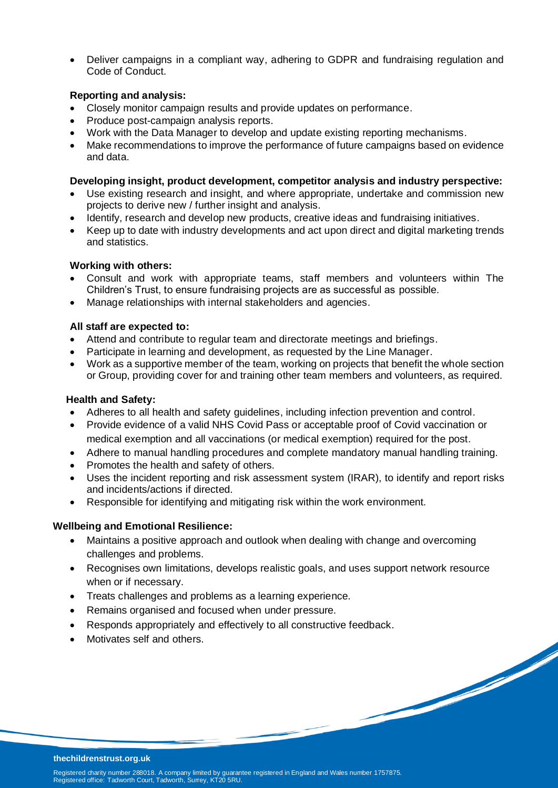• Deliver campaigns in a compliant way, adhering to GDPR and fundraising regulation and Code of Conduct.

#### **Reporting and analysis:**

- Closely monitor campaign results and provide updates on performance.
- Produce post-campaign analysis reports.
- Work with the Data Manager to develop and update existing reporting mechanisms.
- Make recommendations to improve the performance of future campaigns based on evidence and data.

#### **Developing insight, product development, competitor analysis and industry perspective:**

- Use existing research and insight, and where appropriate, undertake and commission new projects to derive new / further insight and analysis.
- Identify, research and develop new products, creative ideas and fundraising initiatives.
- Keep up to date with industry developments and act upon direct and digital marketing trends and statistics.

#### **Working with others:**

- Consult and work with appropriate teams, staff members and volunteers within The Children's Trust, to ensure fundraising projects are as successful as possible.
- Manage relationships with internal stakeholders and agencies.

#### **All staff are expected to:**

- Attend and contribute to regular team and directorate meetings and briefings.
- Participate in learning and development, as requested by the Line Manager.
- Work as a supportive member of the team, working on projects that benefit the whole section or Group, providing cover for and training other team members and volunteers, as required.

#### **Health and Safety:**

- Adheres to all health and safety guidelines, including infection prevention and control.
- Provide evidence of a valid NHS Covid Pass or acceptable proof of Covid vaccination or medical exemption and all vaccinations (or medical exemption) required for the post.
- Adhere to manual handling procedures and complete mandatory manual handling training.
- Promotes the health and safety of others.
- Uses the incident reporting and risk assessment system (IRAR), to identify and report risks and incidents/actions if directed.
- Responsible for identifying and mitigating risk within the work environment.

#### **Wellbeing and Emotional Resilience:**

- Maintains a positive approach and outlook when dealing with change and overcoming challenges and problems.
- Recognises own limitations, develops realistic goals, and uses support network resource when or if necessary.
- Treats challenges and problems as a learning experience.
- Remains organised and focused when under pressure.
- Responds appropriately and effectively to all constructive feedback.
- Motivates self and others.

#### **thechildrenstrust.org.uk**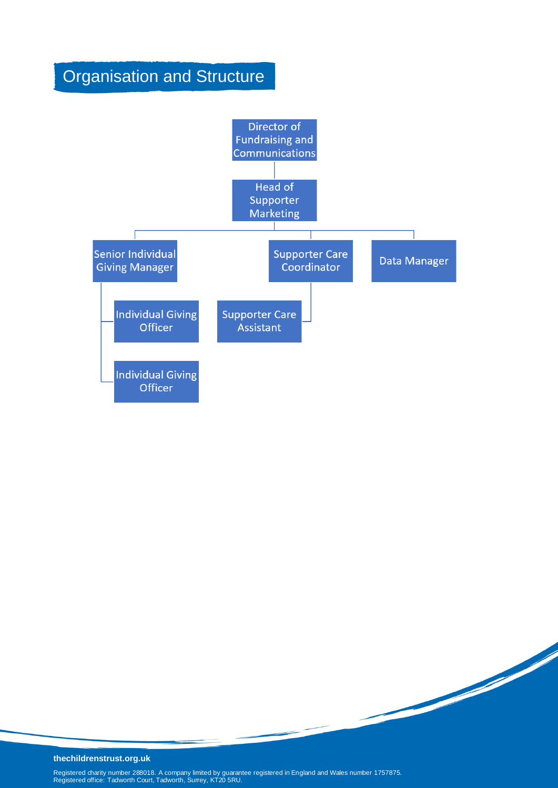## Organisation and Structure



#### **thechildrenstrust.org.uk**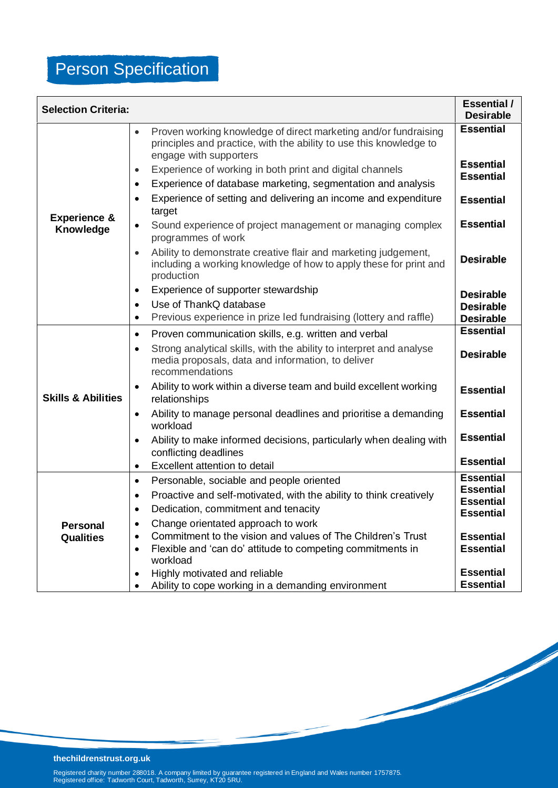# Person Specification

| <b>Selection Criteria:</b>           |                                                                                                                                                                              | <b>Essential</b> /<br><b>Desirable</b> |
|--------------------------------------|------------------------------------------------------------------------------------------------------------------------------------------------------------------------------|----------------------------------------|
|                                      | Proven working knowledge of direct marketing and/or fundraising<br>$\bullet$<br>principles and practice, with the ability to use this knowledge to<br>engage with supporters | <b>Essential</b>                       |
|                                      | Experience of working in both print and digital channels<br>$\bullet$                                                                                                        | <b>Essential</b><br><b>Essential</b>   |
|                                      | Experience of database marketing, segmentation and analysis<br>$\bullet$<br>Experience of setting and delivering an income and expenditure<br>$\bullet$                      | <b>Essential</b>                       |
| <b>Experience &amp;</b><br>Knowledge | target<br>Sound experience of project management or managing complex<br>$\bullet$<br>programmes of work                                                                      | <b>Essential</b>                       |
|                                      | Ability to demonstrate creative flair and marketing judgement,<br>$\bullet$<br>including a working knowledge of how to apply these for print and<br>production               | <b>Desirable</b>                       |
|                                      | Experience of supporter stewardship<br>$\bullet$                                                                                                                             | <b>Desirable</b>                       |
|                                      | Use of ThankQ database<br>$\bullet$                                                                                                                                          | <b>Desirable</b>                       |
|                                      | Previous experience in prize led fundraising (lottery and raffle)<br>$\bullet$                                                                                               | <b>Desirable</b>                       |
|                                      | Proven communication skills, e.g. written and verbal<br>$\bullet$                                                                                                            | <b>Essential</b>                       |
| <b>Skills &amp; Abilities</b>        | Strong analytical skills, with the ability to interpret and analyse<br>$\bullet$<br>media proposals, data and information, to deliver<br>recommendations                     | <b>Desirable</b>                       |
|                                      | Ability to work within a diverse team and build excellent working<br>$\bullet$<br>relationships                                                                              | <b>Essential</b>                       |
|                                      | Ability to manage personal deadlines and prioritise a demanding<br>$\bullet$<br>workload                                                                                     | <b>Essential</b>                       |
|                                      | Ability to make informed decisions, particularly when dealing with<br>$\bullet$<br>conflicting deadlines                                                                     | <b>Essential</b>                       |
|                                      | Excellent attention to detail<br>$\bullet$                                                                                                                                   | <b>Essential</b>                       |
|                                      | Personable, sociable and people oriented<br>$\bullet$                                                                                                                        | <b>Essential</b>                       |
|                                      | Proactive and self-motivated, with the ability to think creatively<br>$\bullet$                                                                                              | <b>Essential</b><br><b>Essential</b>   |
|                                      | Dedication, commitment and tenacity<br>$\bullet$                                                                                                                             | <b>Essential</b>                       |
| <b>Personal</b>                      | Change orientated approach to work<br>$\bullet$                                                                                                                              |                                        |
| <b>Qualities</b>                     | Commitment to the vision and values of The Children's Trust<br>$\bullet$                                                                                                     | <b>Essential</b>                       |
|                                      | Flexible and 'can do' attitude to competing commitments in<br>$\bullet$<br>workload                                                                                          | <b>Essential</b>                       |
|                                      | Highly motivated and reliable<br>$\bullet$                                                                                                                                   | <b>Essential</b>                       |
|                                      | Ability to cope working in a demanding environment<br>$\bullet$                                                                                                              | <b>Essential</b>                       |

**September 1888** 

**September 1888** 

**thechildrenstrust.org.uk**